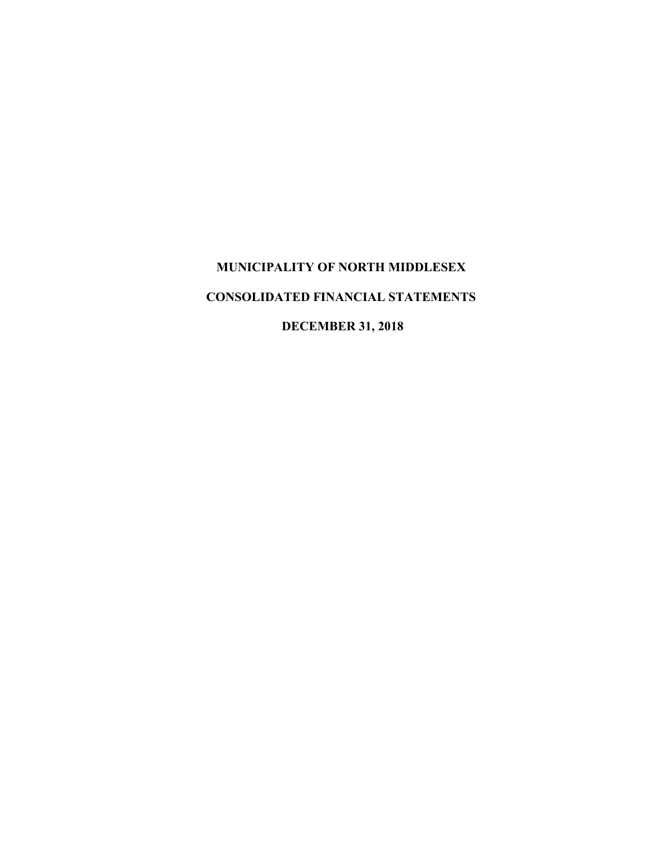# **MUNICIPALITY OF NORTH MIDDLESEX CONSOLIDATED FINANCIAL STATEMENTS**

**DECEMBER 31, 2018**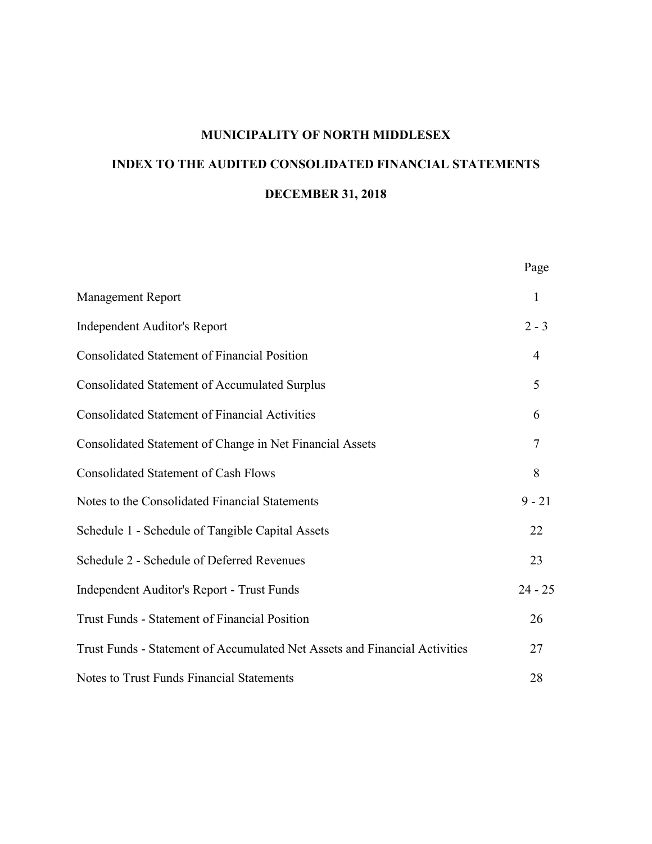# **INDEX TO THE AUDITED CONSOLIDATED FINANCIAL STATEMENTS DECEMBER 31, 2018**

|                                                                            | Page           |
|----------------------------------------------------------------------------|----------------|
| <b>Management Report</b>                                                   | 1              |
| <b>Independent Auditor's Report</b>                                        | $2 - 3$        |
| <b>Consolidated Statement of Financial Position</b>                        | 4              |
| <b>Consolidated Statement of Accumulated Surplus</b>                       | 5              |
| <b>Consolidated Statement of Financial Activities</b>                      | 6              |
| Consolidated Statement of Change in Net Financial Assets                   | $\overline{7}$ |
| <b>Consolidated Statement of Cash Flows</b>                                | 8              |
| Notes to the Consolidated Financial Statements                             | $9 - 21$       |
| Schedule 1 - Schedule of Tangible Capital Assets                           | 22             |
| Schedule 2 - Schedule of Deferred Revenues                                 | 23             |
| <b>Independent Auditor's Report - Trust Funds</b>                          | $24 - 25$      |
| <b>Trust Funds - Statement of Financial Position</b>                       | 26             |
| Trust Funds - Statement of Accumulated Net Assets and Financial Activities | 27             |
| Notes to Trust Funds Financial Statements                                  | 28             |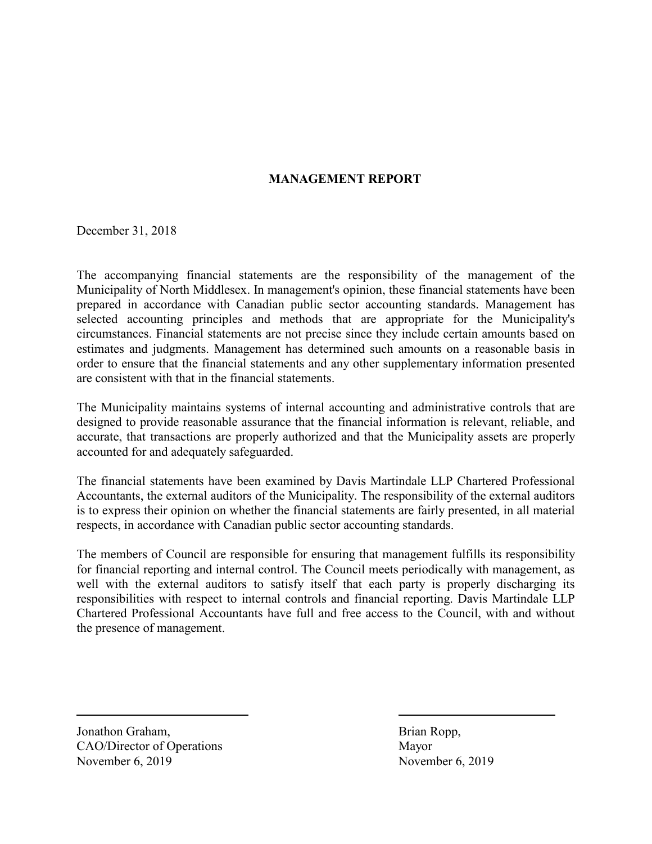# **MANAGEMENT REPORT**

December 31, 2018

The accompanying financial statements are the responsibility of the management of the Municipality of North Middlesex. In management's opinion, these financial statements have been prepared in accordance with Canadian public sector accounting standards. Management has selected accounting principles and methods that are appropriate for the Municipality's circumstances. Financial statements are not precise since they include certain amounts based on estimates and judgments. Management has determined such amounts on a reasonable basis in order to ensure that the financial statements and any other supplementary information presented are consistent with that in the financial statements.

The Municipality maintains systems of internal accounting and administrative controls that are designed to provide reasonable assurance that the financial information is relevant, reliable, and accurate, that transactions are properly authorized and that the Municipality assets are properly accounted for and adequately safeguarded.

The financial statements have been examined by Davis Martindale LLP Chartered Professional Accountants, the external auditors of the Municipality. The responsibility of the external auditors is to express their opinion on whether the financial statements are fairly presented, in all material respects, in accordance with Canadian public sector accounting standards.

The members of Council are responsible for ensuring that management fulfills its responsibility for financial reporting and internal control. The Council meets periodically with management, as well with the external auditors to satisfy itself that each party is properly discharging its responsibilities with respect to internal controls and financial reporting. Davis Martindale LLP Chartered Professional Accountants have full and free access to the Council, with and without the presence of management.

Jonathon Graham, Brian Ropp, CAO/Director of Operations Mayor November 6, 2019 November 6, 2019

 $\overline{a}$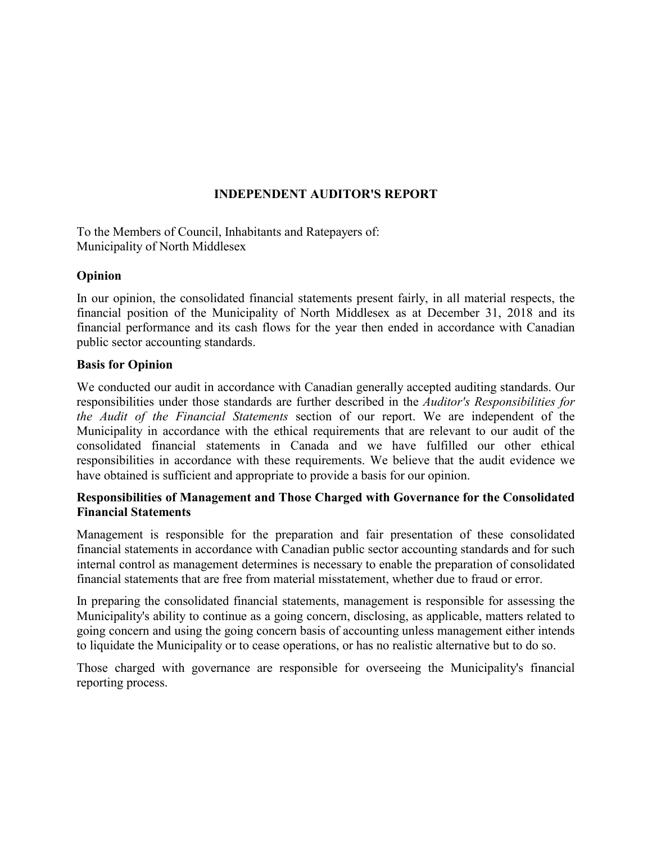# **INDEPENDENT AUDITOR'S REPORT**

To the Members of Council, Inhabitants and Ratepayers of: Municipality of North Middlesex

#### **Opinion**

In our opinion, the consolidated financial statements present fairly, in all material respects, the financial position of the Municipality of North Middlesex as at December 31, 2018 and its financial performance and its cash flows for the year then ended in accordance with Canadian public sector accounting standards.

#### **Basis for Opinion**

We conducted our audit in accordance with Canadian generally accepted auditing standards. Our responsibilities under those standards are further described in the *Auditor's Responsibilities for the Audit of the Financial Statements* section of our report. We are independent of the Municipality in accordance with the ethical requirements that are relevant to our audit of the consolidated financial statements in Canada and we have fulfilled our other ethical responsibilities in accordance with these requirements. We believe that the audit evidence we have obtained is sufficient and appropriate to provide a basis for our opinion.

#### **Responsibilities of Management and Those Charged with Governance for the Consolidated Financial Statements**

Management is responsible for the preparation and fair presentation of these consolidated financial statements in accordance with Canadian public sector accounting standards and for such internal control as management determines is necessary to enable the preparation of consolidated financial statements that are free from material misstatement, whether due to fraud or error.

In preparing the consolidated financial statements, management is responsible for assessing the Municipality's ability to continue as a going concern, disclosing, as applicable, matters related to going concern and using the going concern basis of accounting unless management either intends to liquidate the Municipality or to cease operations, or has no realistic alternative but to do so.

Those charged with governance are responsible for overseeing the Municipality's financial reporting process.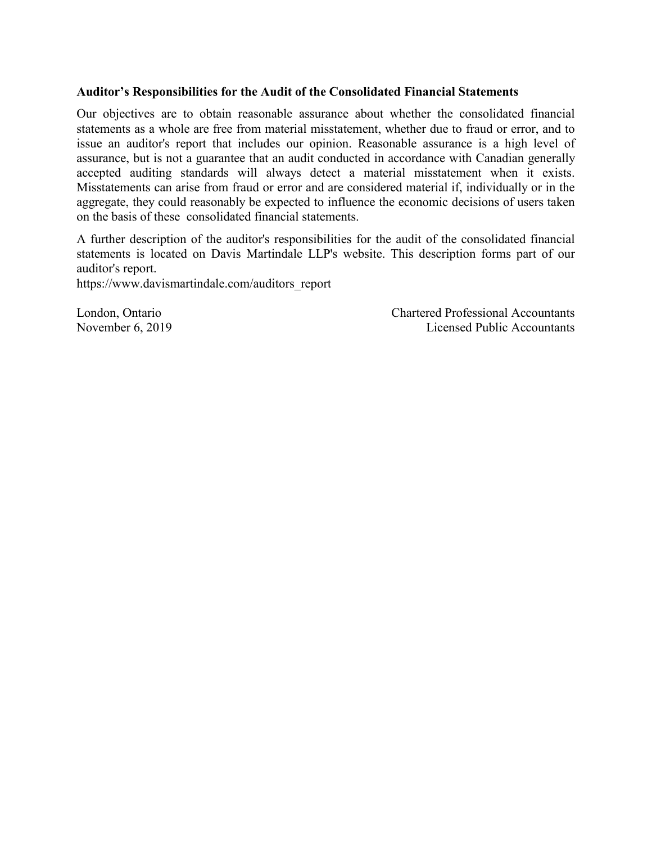#### **Auditor's Responsibilities for the Audit of the Consolidated Financial Statements**

Our objectives are to obtain reasonable assurance about whether the consolidated financial statements as a whole are free from material misstatement, whether due to fraud or error, and to issue an auditor's report that includes our opinion. Reasonable assurance is a high level of assurance, but is not a guarantee that an audit conducted in accordance with Canadian generally accepted auditing standards will always detect a material misstatement when it exists. Misstatements can arise from fraud or error and are considered material if, individually or in the aggregate, they could reasonably be expected to influence the economic decisions of users taken on the basis of these consolidated financial statements.

A further description of the auditor's responsibilities for the audit of the consolidated financial statements is located on Davis Martindale LLP's website. This description forms part of our auditor's report.

https://www.davismartindale.com/auditors\_report

London, Ontario Chartered Professional Accountants November 6, 2019 Licensed Public Accountants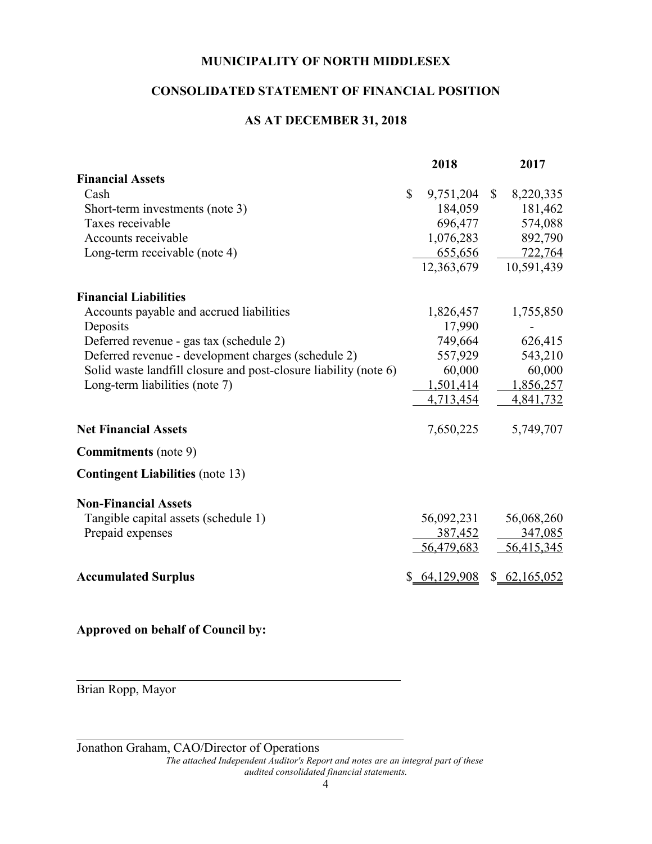# **CONSOLIDATED STATEMENT OF FINANCIAL POSITION**

# **AS AT DECEMBER 31, 2018**

|                                                                  |              | 2018          |              | 2017         |
|------------------------------------------------------------------|--------------|---------------|--------------|--------------|
| <b>Financial Assets</b>                                          |              |               |              |              |
| Cash                                                             | $\mathbb{S}$ | 9,751,204     | $\mathbb{S}$ | 8,220,335    |
| Short-term investments (note 3)                                  |              | 184,059       |              | 181,462      |
| Taxes receivable                                                 |              | 696,477       |              | 574,088      |
| Accounts receivable                                              |              | 1,076,283     |              | 892,790      |
| Long-term receivable (note 4)                                    |              | 655,656       |              | 722,764      |
|                                                                  |              | 12,363,679    |              | 10,591,439   |
| <b>Financial Liabilities</b>                                     |              |               |              |              |
| Accounts payable and accrued liabilities                         |              | 1,826,457     |              | 1,755,850    |
| Deposits                                                         |              | 17,990        |              |              |
| Deferred revenue - gas tax (schedule 2)                          |              | 749,664       |              | 626,415      |
| Deferred revenue - development charges (schedule 2)              |              | 557,929       |              | 543,210      |
| Solid waste landfill closure and post-closure liability (note 6) |              | 60,000        |              | 60,000       |
| Long-term liabilities (note 7)                                   |              | 1,501,414     |              | 1,856,257    |
|                                                                  |              | 4,713,454     |              | 4,841,732    |
| <b>Net Financial Assets</b>                                      |              | 7,650,225     |              | 5,749,707    |
| <b>Commitments</b> (note 9)                                      |              |               |              |              |
| <b>Contingent Liabilities (note 13)</b>                          |              |               |              |              |
| <b>Non-Financial Assets</b>                                      |              |               |              |              |
| Tangible capital assets (schedule 1)                             |              | 56,092,231    |              | 56,068,260   |
| Prepaid expenses                                                 |              | 387,452       |              | 347,085      |
|                                                                  |              | 56,479,683    |              | 56,415,345   |
| <b>Accumulated Surplus</b>                                       |              | \$ 64,129,908 |              | \$62,165,052 |

**Approved on behalf of Council by:**

Brian Ropp, Mayor

 $\overline{a}$ 

 $\overline{a}$ 

Jonathon Graham, CAO/Director of Operations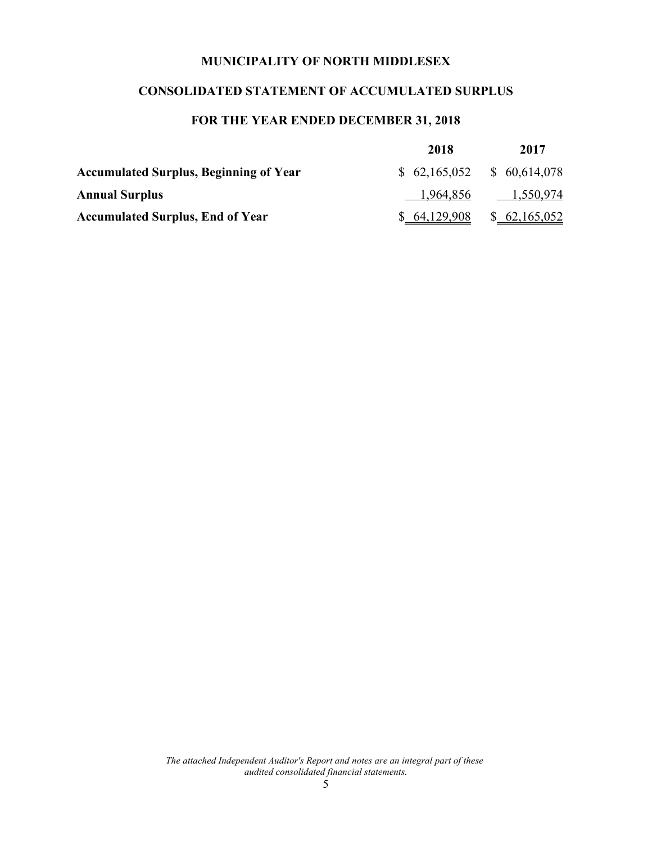# **CONSOLIDATED STATEMENT OF ACCUMULATED SURPLUS**

# **FOR THE YEAR ENDED DECEMBER 31, 2018**

|                                               | 2018                        | 2017         |
|-----------------------------------------------|-----------------------------|--------------|
| <b>Accumulated Surplus, Beginning of Year</b> | $$62,165,052$ $$60,614,078$ |              |
| <b>Annual Surplus</b>                         | 1,964,856                   | 1,550,974    |
| <b>Accumulated Surplus, End of Year</b>       | \$64,129,908                | \$62,165,052 |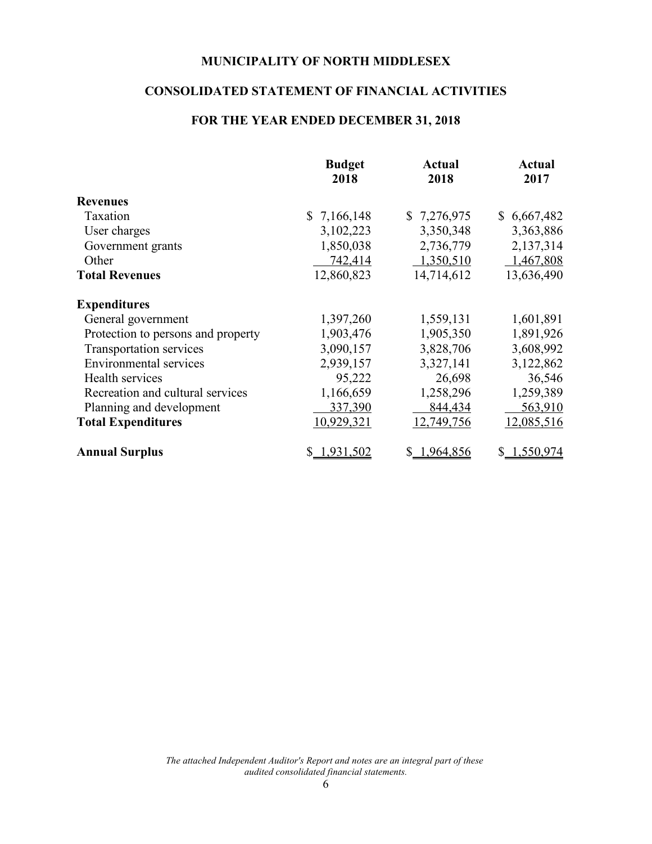# **CONSOLIDATED STATEMENT OF FINANCIAL ACTIVITIES**

# **FOR THE YEAR ENDED DECEMBER 31, 2018**

|                                    | <b>Budget</b><br>2018 | Actual<br>2018 | <b>Actual</b><br>2017 |
|------------------------------------|-----------------------|----------------|-----------------------|
| <b>Revenues</b>                    |                       |                |                       |
| Taxation                           | \$7,166,148           | \$7,276,975    | \$6,667,482           |
| User charges                       | 3,102,223             | 3,350,348      | 3,363,886             |
| Government grants                  | 1,850,038             | 2,736,779      | 2,137,314             |
| Other                              | 742,414               | 1,350,510      | 1,467,808             |
| <b>Total Revenues</b>              | 12,860,823            | 14,714,612     | 13,636,490            |
| <b>Expenditures</b>                |                       |                |                       |
| General government                 | 1,397,260             | 1,559,131      | 1,601,891             |
| Protection to persons and property | 1,903,476             | 1,905,350      | 1,891,926             |
| Transportation services            | 3,090,157             | 3,828,706      | 3,608,992             |
| <b>Environmental services</b>      | 2,939,157             | 3,327,141      | 3,122,862             |
| Health services                    | 95,222                | 26,698         | 36,546                |
| Recreation and cultural services   | 1,166,659             | 1,258,296      | 1,259,389             |
| Planning and development           | 337,390               | 844,434        | 563,910               |
| <b>Total Expenditures</b>          | 10,929,321            | 12,749,756     | 12,085,516            |
| <b>Annual Surplus</b>              | \$1,931,502           | \$1,964,856    | \$1,550,974           |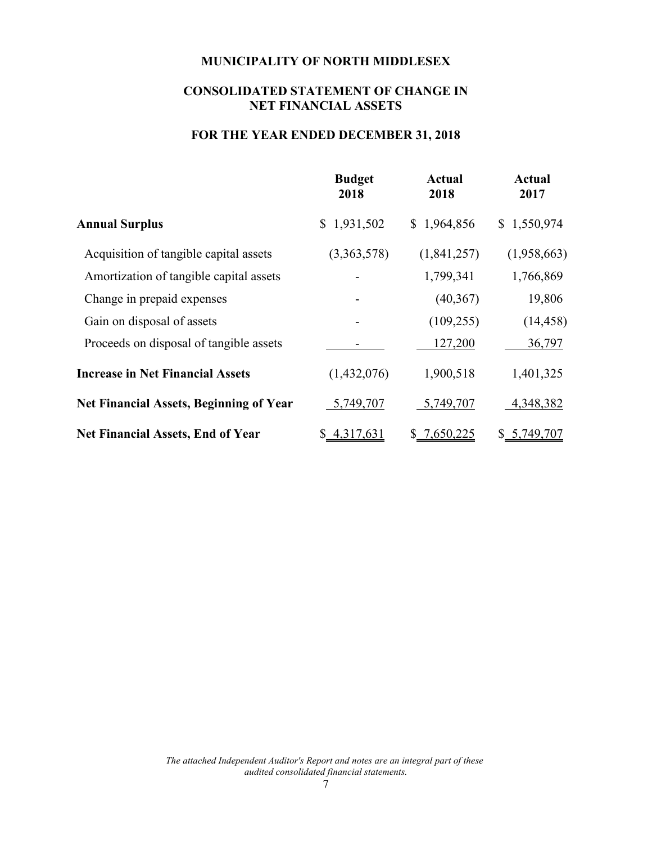# **CONSOLIDATED STATEMENT OF CHANGE IN NET FINANCIAL ASSETS**

#### **FOR THE YEAR ENDED DECEMBER 31, 2018**

|                                                | <b>Budget</b><br>2018 | <b>Actual</b><br>2018 | <b>Actual</b><br>2017 |
|------------------------------------------------|-----------------------|-----------------------|-----------------------|
| <b>Annual Surplus</b>                          | \$1,931,502           | \$1,964,856           | \$1,550,974           |
| Acquisition of tangible capital assets         | (3,363,578)           | (1,841,257)           | (1,958,663)           |
| Amortization of tangible capital assets        |                       | 1,799,341             | 1,766,869             |
| Change in prepaid expenses                     |                       | (40, 367)             | 19,806                |
| Gain on disposal of assets                     |                       | (109, 255)            | (14, 458)             |
| Proceeds on disposal of tangible assets        |                       | 127,200               | 36,797                |
| <b>Increase in Net Financial Assets</b>        | (1,432,076)           | 1,900,518             | 1,401,325             |
| <b>Net Financial Assets, Beginning of Year</b> | 5,749,707             | 5,749,707             | 4,348,382             |
| <b>Net Financial Assets, End of Year</b>       | \$4,317,631           | \$7,650,225           | \$5,749,707           |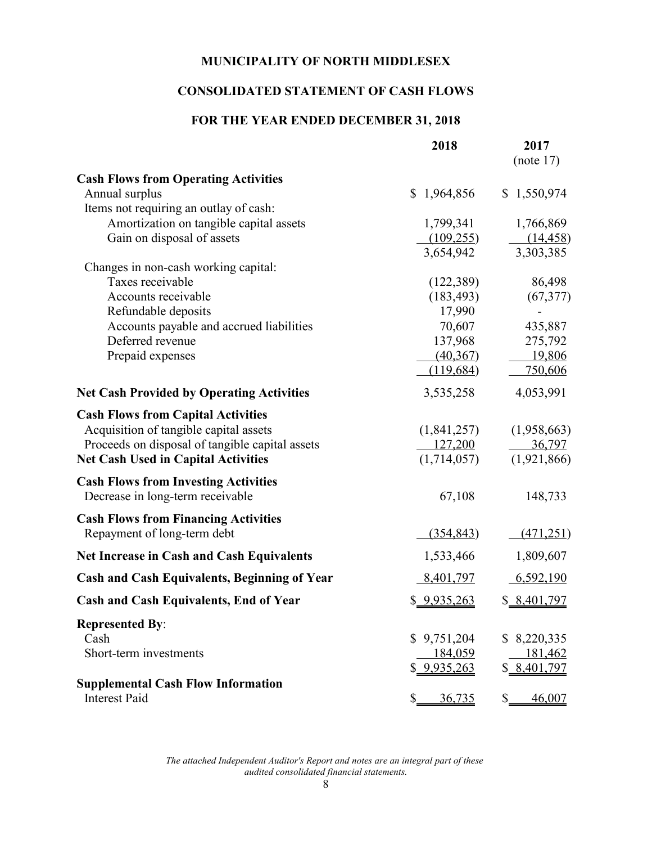# **CONSOLIDATED STATEMENT OF CASH FLOWS**

# **FOR THE YEAR ENDED DECEMBER 31, 2018**

|                                                              | 2018                        | 2017<br>(note 17)   |
|--------------------------------------------------------------|-----------------------------|---------------------|
| <b>Cash Flows from Operating Activities</b>                  |                             |                     |
| Annual surplus                                               | $\mathbb{S}^-$<br>1,964,856 | \$1,550,974         |
| Items not requiring an outlay of cash:                       |                             |                     |
| Amortization on tangible capital assets                      | 1,799,341                   | 1,766,869           |
| Gain on disposal of assets                                   | (109, 255)                  | (14, 458)           |
|                                                              | 3,654,942                   | 3,303,385           |
| Changes in non-cash working capital:                         |                             |                     |
| Taxes receivable                                             | (122, 389)                  | 86,498              |
| Accounts receivable                                          | (183, 493)                  | (67, 377)           |
| Refundable deposits                                          | 17,990                      |                     |
| Accounts payable and accrued liabilities<br>Deferred revenue | 70,607                      | 435,887             |
| Prepaid expenses                                             | 137,968<br>(40, 367)        | 275,792<br>19,806   |
|                                                              | (119, 684)                  | 750,606             |
|                                                              |                             |                     |
| <b>Net Cash Provided by Operating Activities</b>             | 3,535,258                   | 4,053,991           |
| <b>Cash Flows from Capital Activities</b>                    |                             |                     |
| Acquisition of tangible capital assets                       | (1,841,257)                 | (1,958,663)         |
| Proceeds on disposal of tangible capital assets              | 127,200                     | <u>36,797</u>       |
| <b>Net Cash Used in Capital Activities</b>                   | (1,714,057)                 | (1,921,866)         |
| <b>Cash Flows from Investing Activities</b>                  |                             |                     |
| Decrease in long-term receivable                             | 67,108                      | 148,733             |
| <b>Cash Flows from Financing Activities</b>                  |                             |                     |
| Repayment of long-term debt                                  | (354, 843)                  | (471, 251)          |
| <b>Net Increase in Cash and Cash Equivalents</b>             | 1,533,466                   | 1,809,607           |
| <b>Cash and Cash Equivalents, Beginning of Year</b>          | 8,401,797                   | 6,592,190           |
| <b>Cash and Cash Equivalents, End of Year</b>                | \$ 9,935,263                | \$ 8,401,797        |
| <b>Represented By:</b>                                       |                             |                     |
| Cash                                                         | \$9,751,204                 | \$8,220,335         |
| Short-term investments                                       | 184,059                     | 181,462             |
|                                                              | 9,935,263                   | \$8,401,797         |
| <b>Supplemental Cash Flow Information</b>                    |                             |                     |
| <b>Interest Paid</b>                                         | <u>36,735</u><br>\$.        | <u>46,007</u><br>\$ |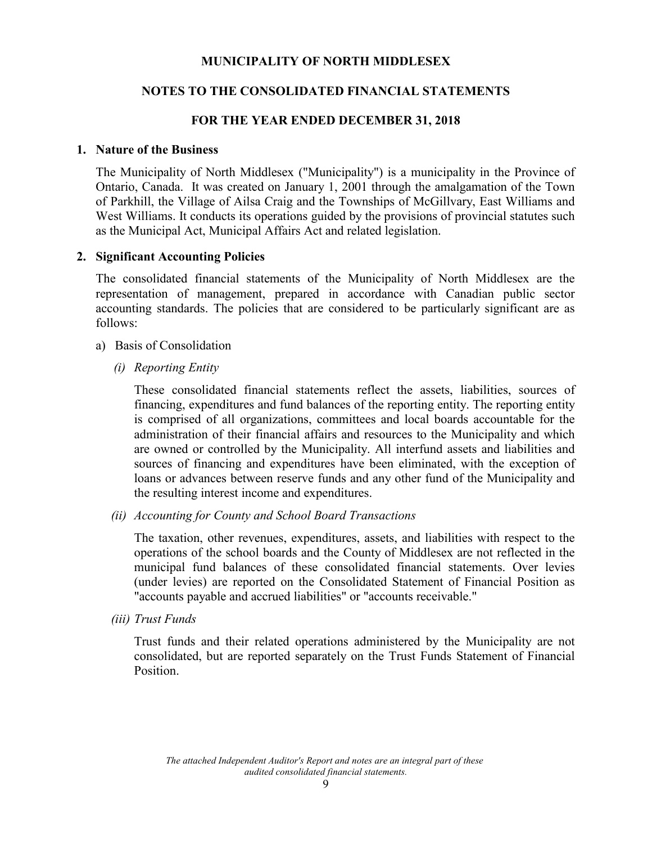# **NOTES TO THE CONSOLIDATED FINANCIAL STATEMENTS**

#### **FOR THE YEAR ENDED DECEMBER 31, 2018**

#### **1. Nature of the Business**

The Municipality of North Middlesex ("Municipality") is a municipality in the Province of Ontario, Canada. It was created on January 1, 2001 through the amalgamation of the Town of Parkhill, the Village of Ailsa Craig and the Townships of McGillvary, East Williams and West Williams. It conducts its operations guided by the provisions of provincial statutes such as the Municipal Act, Municipal Affairs Act and related legislation.

#### **2. Significant Accounting Policies**

The consolidated financial statements of the Municipality of North Middlesex are the representation of management, prepared in accordance with Canadian public sector accounting standards. The policies that are considered to be particularly significant are as follows:

- a) Basis of Consolidation
	- *(i) Reporting Entity*

These consolidated financial statements reflect the assets, liabilities, sources of financing, expenditures and fund balances of the reporting entity. The reporting entity is comprised of all organizations, committees and local boards accountable for the administration of their financial affairs and resources to the Municipality and which are owned or controlled by the Municipality. All interfund assets and liabilities and sources of financing and expenditures have been eliminated, with the exception of loans or advances between reserve funds and any other fund of the Municipality and the resulting interest income and expenditures.

*(ii) Accounting for County and School Board Transactions*

The taxation, other revenues, expenditures, assets, and liabilities with respect to the operations of the school boards and the County of Middlesex are not reflected in the municipal fund balances of these consolidated financial statements. Over levies (under levies) are reported on the Consolidated Statement of Financial Position as "accounts payable and accrued liabilities" or "accounts receivable."

*(iii) Trust Funds*

Trust funds and their related operations administered by the Municipality are not consolidated, but are reported separately on the Trust Funds Statement of Financial **Position**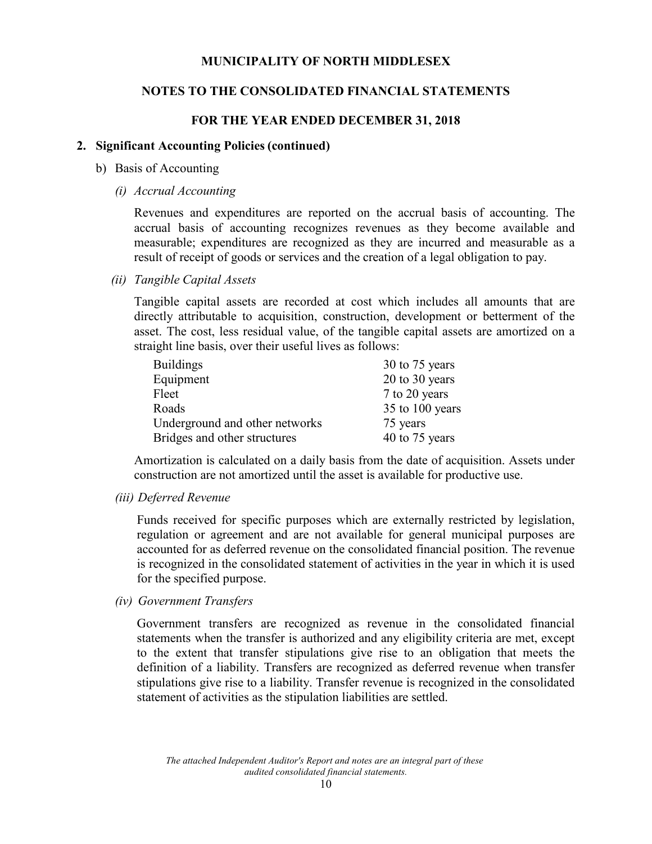#### **NOTES TO THE CONSOLIDATED FINANCIAL STATEMENTS**

#### **FOR THE YEAR ENDED DECEMBER 31, 2018**

#### **2. Significant Accounting Policies (continued)**

- b) Basis of Accounting
	- *(i) Accrual Accounting*

Revenues and expenditures are reported on the accrual basis of accounting. The accrual basis of accounting recognizes revenues as they become available and measurable; expenditures are recognized as they are incurred and measurable as a result of receipt of goods or services and the creation of a legal obligation to pay.

*(ii) Tangible Capital Assets*

Tangible capital assets are recorded at cost which includes all amounts that are directly attributable to acquisition, construction, development or betterment of the asset. The cost, less residual value, of the tangible capital assets are amortized on a straight line basis, over their useful lives as follows:

| <b>Buildings</b>               | 30 to 75 years  |
|--------------------------------|-----------------|
| Equipment                      | 20 to 30 years  |
| Fleet                          | 7 to 20 years   |
| Roads                          | 35 to 100 years |
| Underground and other networks | 75 years        |
| Bridges and other structures   | 40 to 75 years  |

Amortization is calculated on a daily basis from the date of acquisition. Assets under construction are not amortized until the asset is available for productive use.

*(iii) Deferred Revenue*

Funds received for specific purposes which are externally restricted by legislation, regulation or agreement and are not available for general municipal purposes are accounted for as deferred revenue on the consolidated financial position. The revenue is recognized in the consolidated statement of activities in the year in which it is used for the specified purpose.

*(iv) Government Transfers*

Government transfers are recognized as revenue in the consolidated financial statements when the transfer is authorized and any eligibility criteria are met, except to the extent that transfer stipulations give rise to an obligation that meets the definition of a liability. Transfers are recognized as deferred revenue when transfer stipulations give rise to a liability. Transfer revenue is recognized in the consolidated statement of activities as the stipulation liabilities are settled.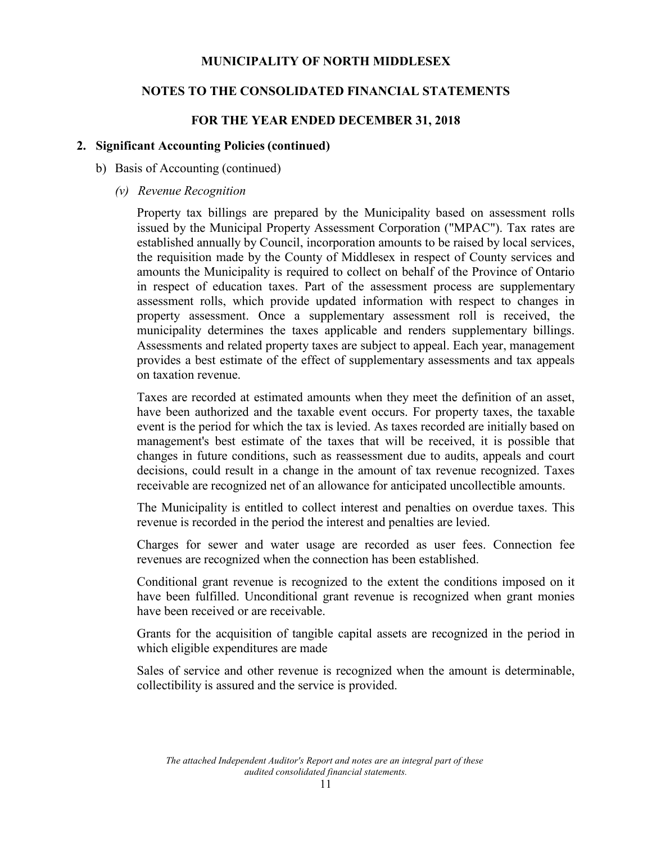#### **NOTES TO THE CONSOLIDATED FINANCIAL STATEMENTS**

#### **FOR THE YEAR ENDED DECEMBER 31, 2018**

#### **2. Significant Accounting Policies (continued)**

- b) Basis of Accounting (continued)
	- *(v) Revenue Recognition*

Property tax billings are prepared by the Municipality based on assessment rolls issued by the Municipal Property Assessment Corporation ("MPAC"). Tax rates are established annually by Council, incorporation amounts to be raised by local services, the requisition made by the County of Middlesex in respect of County services and amounts the Municipality is required to collect on behalf of the Province of Ontario in respect of education taxes. Part of the assessment process are supplementary assessment rolls, which provide updated information with respect to changes in property assessment. Once a supplementary assessment roll is received, the municipality determines the taxes applicable and renders supplementary billings. Assessments and related property taxes are subject to appeal. Each year, management provides a best estimate of the effect of supplementary assessments and tax appeals on taxation revenue.

Taxes are recorded at estimated amounts when they meet the definition of an asset, have been authorized and the taxable event occurs. For property taxes, the taxable event is the period for which the tax is levied. As taxes recorded are initially based on management's best estimate of the taxes that will be received, it is possible that changes in future conditions, such as reassessment due to audits, appeals and court decisions, could result in a change in the amount of tax revenue recognized. Taxes receivable are recognized net of an allowance for anticipated uncollectible amounts.

The Municipality is entitled to collect interest and penalties on overdue taxes. This revenue is recorded in the period the interest and penalties are levied.

Charges for sewer and water usage are recorded as user fees. Connection fee revenues are recognized when the connection has been established.

Conditional grant revenue is recognized to the extent the conditions imposed on it have been fulfilled. Unconditional grant revenue is recognized when grant monies have been received or are receivable.

Grants for the acquisition of tangible capital assets are recognized in the period in which eligible expenditures are made

Sales of service and other revenue is recognized when the amount is determinable, collectibility is assured and the service is provided.

*The attached Independent Auditor's Report and notes are an integral part of these audited consolidated financial statements.*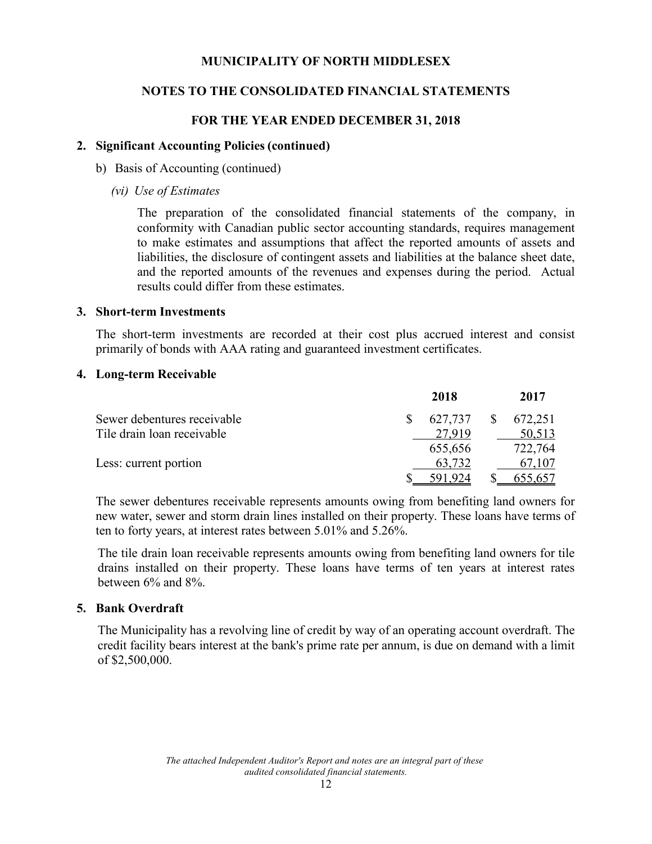# **NOTES TO THE CONSOLIDATED FINANCIAL STATEMENTS**

#### **FOR THE YEAR ENDED DECEMBER 31, 2018**

#### **2. Significant Accounting Policies (continued)**

- b) Basis of Accounting (continued)
	- *(vi) Use of Estimates*

The preparation of the consolidated financial statements of the company, in conformity with Canadian public sector accounting standards, requires management to make estimates and assumptions that affect the reported amounts of assets and liabilities, the disclosure of contingent assets and liabilities at the balance sheet date, and the reported amounts of the revenues and expenses during the period. Actual results could differ from these estimates.

#### **3. Short-term Investments**

The short-term investments are recorded at their cost plus accrued interest and consist primarily of bonds with AAA rating and guaranteed investment certificates.

#### **4. Long-term Receivable**

|                             | 2018    |              | 2017           |
|-----------------------------|---------|--------------|----------------|
| Sewer debentures receivable | 627,737 | <sup>S</sup> | 672,251        |
| Tile drain loan receivable  | 27919   |              | 50,513         |
|                             | 655,656 |              | 722,764        |
| Less: current portion       | 63,732  |              | 67,107         |
|                             | 791 924 |              | <u>655,657</u> |

The sewer debentures receivable represents amounts owing from benefiting land owners for new water, sewer and storm drain lines installed on their property. These loans have terms of ten to forty years, at interest rates between 5.01% and 5.26%.

The tile drain loan receivable represents amounts owing from benefiting land owners for tile drains installed on their property. These loans have terms of ten years at interest rates between 6% and 8%.

#### **5. Bank Overdraft**

The Municipality has a revolving line of credit by way of an operating account overdraft. The credit facility bears interest at the bank's prime rate per annum, is due on demand with a limit of \$2,500,000.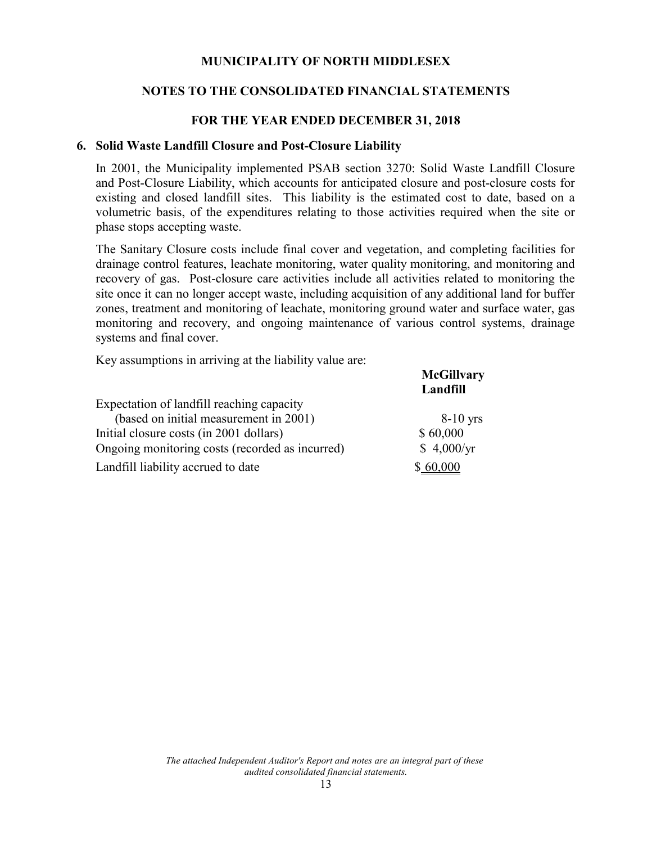# **NOTES TO THE CONSOLIDATED FINANCIAL STATEMENTS**

#### **FOR THE YEAR ENDED DECEMBER 31, 2018**

#### **6. Solid Waste Landfill Closure and Post-Closure Liability**

In 2001, the Municipality implemented PSAB section 3270: Solid Waste Landfill Closure and Post-Closure Liability, which accounts for anticipated closure and post-closure costs for existing and closed landfill sites. This liability is the estimated cost to date, based on a volumetric basis, of the expenditures relating to those activities required when the site or phase stops accepting waste.

The Sanitary Closure costs include final cover and vegetation, and completing facilities for drainage control features, leachate monitoring, water quality monitoring, and monitoring and recovery of gas. Post-closure care activities include all activities related to monitoring the site once it can no longer accept waste, including acquisition of any additional land for buffer zones, treatment and monitoring of leachate, monitoring ground water and surface water, gas monitoring and recovery, and ongoing maintenance of various control systems, drainage systems and final cover.

Key assumptions in arriving at the liability value are:

|                                                 | <b>McGillvary</b><br>Landfill |
|-------------------------------------------------|-------------------------------|
| Expectation of landfill reaching capacity       |                               |
| (based on initial measurement in 2001)          | $8-10$ yrs                    |
| Initial closure costs (in 2001 dollars)         | \$60,000                      |
| Ongoing monitoring costs (recorded as incurred) | \$4,000/yr                    |
| Landfill liability accrued to date              | \$60,000                      |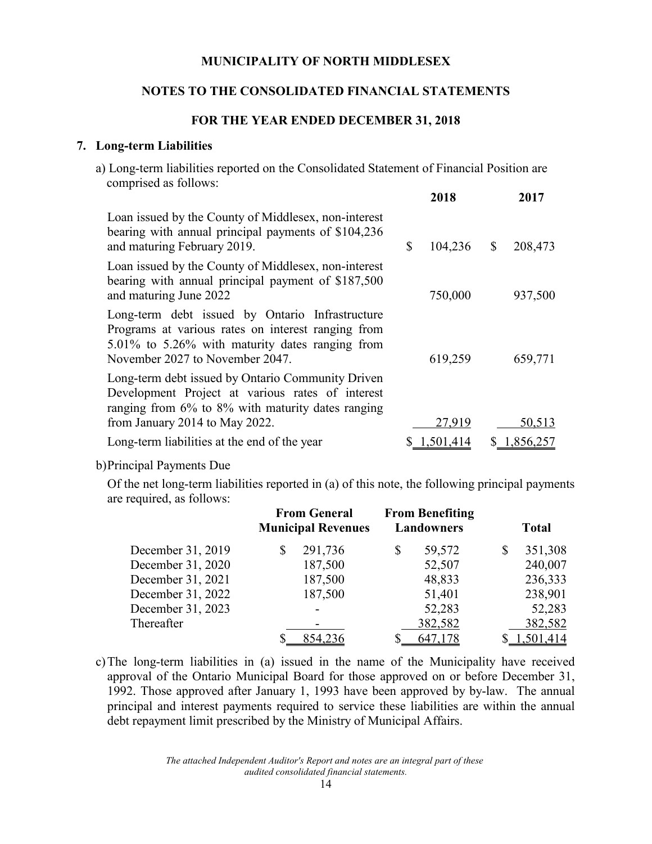#### **NOTES TO THE CONSOLIDATED FINANCIAL STATEMENTS**

#### **FOR THE YEAR ENDED DECEMBER 31, 2018**

#### **7. Long-term Liabilities**

a) Long-term liabilities reported on the Consolidated Statement of Financial Position are comprised as follows:

|                                                                                                                                                                                             | 2018               |    | 2017      |
|---------------------------------------------------------------------------------------------------------------------------------------------------------------------------------------------|--------------------|----|-----------|
| Loan issued by the County of Middlesex, non-interest<br>bearing with annual principal payments of \$104,236<br>and maturing February 2019.                                                  | \$<br>$104,236$ \$ |    | 208,473   |
| Loan issued by the County of Middlesex, non-interest<br>bearing with annual principal payment of \$187,500<br>and maturing June 2022                                                        | 750,000            |    | 937,500   |
| Long-term debt issued by Ontario Infrastructure<br>Programs at various rates on interest ranging from<br>5.01% to 5.26% with maturity dates ranging from<br>November 2027 to November 2047. | 619,259            |    | 659,771   |
| Long-term debt issued by Ontario Community Driven<br>Development Project at various rates of interest<br>ranging from $6\%$ to $8\%$ with maturity dates ranging                            |                    |    |           |
| from January 2014 to May 2022.                                                                                                                                                              | 27,919             |    | 50,513    |
| Long-term liabilities at the end of the year                                                                                                                                                | 1,501,414          | S. | 1,856,257 |

b)Principal Payments Due

Of the net long-term liabilities reported in (a) of this note, the following principal payments are required, as follows:

|                   | <b>From General</b><br><b>Municipal Revenues</b> |         | <b>From Benefiting</b><br><b>Landowners</b> |         | <b>Total</b>  |
|-------------------|--------------------------------------------------|---------|---------------------------------------------|---------|---------------|
| December 31, 2019 | \$                                               | 291,736 | \$                                          | 59,572  | \$<br>351,308 |
| December 31, 2020 |                                                  | 187,500 |                                             | 52,507  | 240,007       |
| December 31, 2021 |                                                  | 187,500 |                                             | 48,833  | 236,333       |
| December 31, 2022 |                                                  | 187,500 |                                             | 51,401  | 238,901       |
| December 31, 2023 |                                                  | -       |                                             | 52,283  | 52,283        |
| Thereafter        |                                                  |         |                                             | 382,582 | 382,582       |
|                   |                                                  |         |                                             | 647,178 | .501,414      |

c)The long-term liabilities in (a) issued in the name of the Municipality have received approval of the Ontario Municipal Board for those approved on or before December 31, 1992. Those approved after January 1, 1993 have been approved by by-law. The annual principal and interest payments required to service these liabilities are within the annual debt repayment limit prescribed by the Ministry of Municipal Affairs.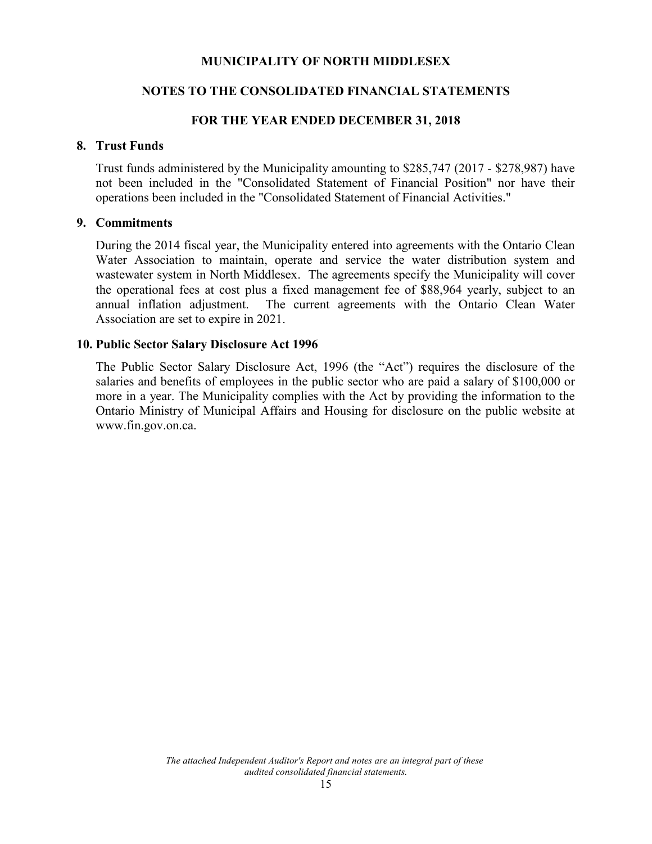# **NOTES TO THE CONSOLIDATED FINANCIAL STATEMENTS**

#### **FOR THE YEAR ENDED DECEMBER 31, 2018**

#### **8. Trust Funds**

Trust funds administered by the Municipality amounting to \$285,747 (2017 - \$278,987) have not been included in the "Consolidated Statement of Financial Position" nor have their operations been included in the "Consolidated Statement of Financial Activities."

#### **9. Commitments**

During the 2014 fiscal year, the Municipality entered into agreements with the Ontario Clean Water Association to maintain, operate and service the water distribution system and wastewater system in North Middlesex. The agreements specify the Municipality will cover the operational fees at cost plus a fixed management fee of \$88,964 yearly, subject to an annual inflation adjustment. The current agreements with the Ontario Clean Water Association are set to expire in 2021.

#### **10. Public Sector Salary Disclosure Act 1996**

The Public Sector Salary Disclosure Act, 1996 (the "Act") requires the disclosure of the salaries and benefits of employees in the public sector who are paid a salary of \$100,000 or more in a year. The Municipality complies with the Act by providing the information to the Ontario Ministry of Municipal Affairs and Housing for disclosure on the public website at www.fin.gov.on.ca.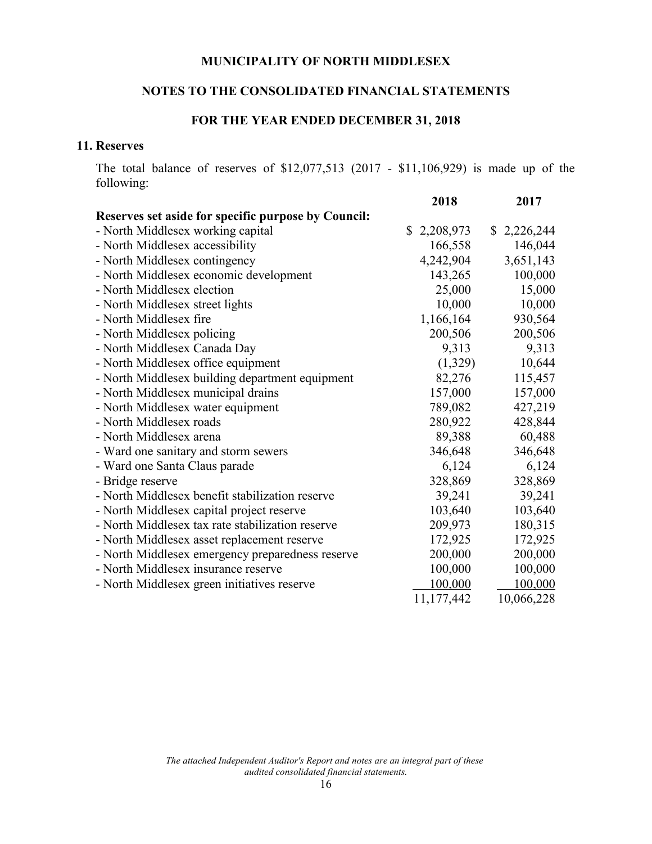# **NOTES TO THE CONSOLIDATED FINANCIAL STATEMENTS**

# **FOR THE YEAR ENDED DECEMBER 31, 2018**

#### **11. Reserves**

The total balance of reserves of \$12,077,513 (2017 - \$11,106,929) is made up of the following:

|                                                     | 2018           | 2017        |
|-----------------------------------------------------|----------------|-------------|
| Reserves set aside for specific purpose by Council: |                |             |
| - North Middlesex working capital                   | 2,208,973<br>S | \$2,226,244 |
| - North Middlesex accessibility                     | 166,558        | 146,044     |
| - North Middlesex contingency                       | 4,242,904      | 3,651,143   |
| - North Middlesex economic development              | 143,265        | 100,000     |
| - North Middlesex election                          | 25,000         | 15,000      |
| - North Middlesex street lights                     | 10,000         | 10,000      |
| - North Middlesex fire                              | 1,166,164      | 930,564     |
| - North Middlesex policing                          | 200,506        | 200,506     |
| - North Middlesex Canada Day                        | 9,313          | 9,313       |
| - North Middlesex office equipment                  | (1,329)        | 10,644      |
| - North Middlesex building department equipment     | 82,276         | 115,457     |
| - North Middlesex municipal drains                  | 157,000        | 157,000     |
| - North Middlesex water equipment                   | 789,082        | 427,219     |
| - North Middlesex roads                             | 280,922        | 428,844     |
| - North Middlesex arena                             | 89,388         | 60,488      |
| - Ward one sanitary and storm sewers                | 346,648        | 346,648     |
| - Ward one Santa Claus parade                       | 6,124          | 6,124       |
| - Bridge reserve                                    | 328,869        | 328,869     |
| - North Middlesex benefit stabilization reserve     | 39,241         | 39,241      |
| - North Middlesex capital project reserve           | 103,640        | 103,640     |
| - North Middlesex tax rate stabilization reserve    | 209,973        | 180,315     |
| - North Middlesex asset replacement reserve         | 172,925        | 172,925     |
| - North Middlesex emergency preparedness reserve    | 200,000        | 200,000     |
| - North Middlesex insurance reserve                 | 100,000        | 100,000     |
| - North Middlesex green initiatives reserve         | 100,000        | 100,000     |
|                                                     | 11,177,442     | 10,066,228  |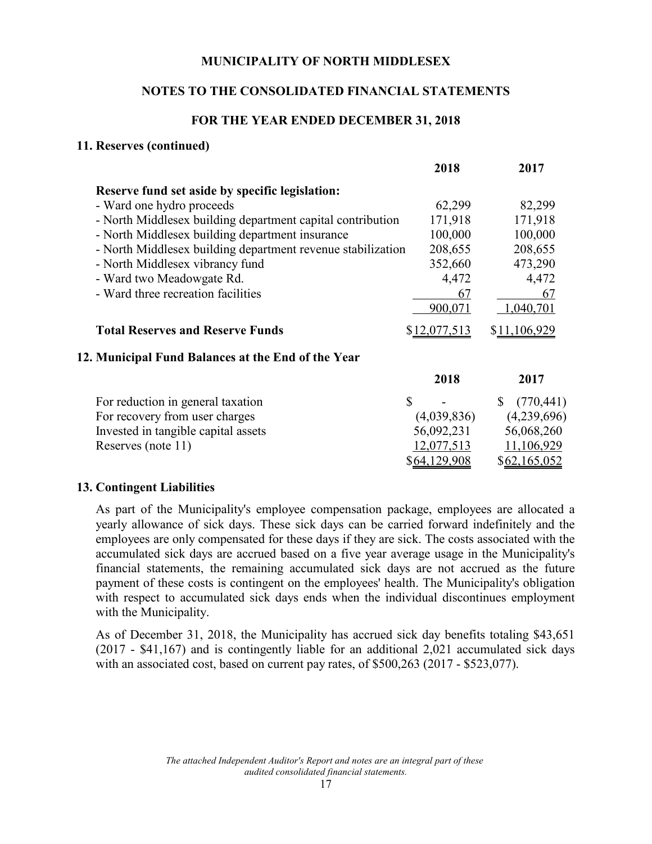# **NOTES TO THE CONSOLIDATED FINANCIAL STATEMENTS**

#### **FOR THE YEAR ENDED DECEMBER 31, 2018**

#### **11. Reserves (continued)**

|                                                             | 2018         | 2017                |
|-------------------------------------------------------------|--------------|---------------------|
| Reserve fund set aside by specific legislation:             |              |                     |
| - Ward one hydro proceeds                                   | 62,299       | 82,299              |
| - North Middlesex building department capital contribution  | 171,918      | 171,918             |
| - North Middlesex building department insurance             | 100,000      | 100,000             |
| - North Middlesex building department revenue stabilization | 208,655      | 208,655             |
| - North Middlesex vibrancy fund                             | 352,660      | 473,290             |
| - Ward two Meadowgate Rd.                                   | 4,472        | 4,472               |
| - Ward three recreation facilities                          | 67           | 67                  |
|                                                             | 900,071      | 1,040,701           |
| <b>Total Reserves and Reserve Funds</b>                     | \$12,077,513 | \$11,106,929        |
| 12. Municipal Fund Balances at the End of the Year          |              |                     |
|                                                             | 2018         | 2017                |
| For reduction in general taxation                           | \$           | (770, 441)          |
| For recovery from user charges                              | (4,039,836)  | (4,239,696)         |
| Invested in tangible capital assets                         | 56,092,231   | 56,068,260          |
| Reserves (note 11)                                          | 12,077,513   | 11,106,929          |
|                                                             | \$64,129,908 | <u>\$62,165,052</u> |
|                                                             |              |                     |

#### **13. Contingent Liabilities**

As part of the Municipality's employee compensation package, employees are allocated a yearly allowance of sick days. These sick days can be carried forward indefinitely and the employees are only compensated for these days if they are sick. The costs associated with the accumulated sick days are accrued based on a five year average usage in the Municipality's financial statements, the remaining accumulated sick days are not accrued as the future payment of these costs is contingent on the employees' health. The Municipality's obligation with respect to accumulated sick days ends when the individual discontinues employment with the Municipality.

As of December 31, 2018, the Municipality has accrued sick day benefits totaling \$43,651 (2017 - \$41,167) and is contingently liable for an additional 2,021 accumulated sick days with an associated cost, based on current pay rates, of \$500,263 (2017 - \$523,077).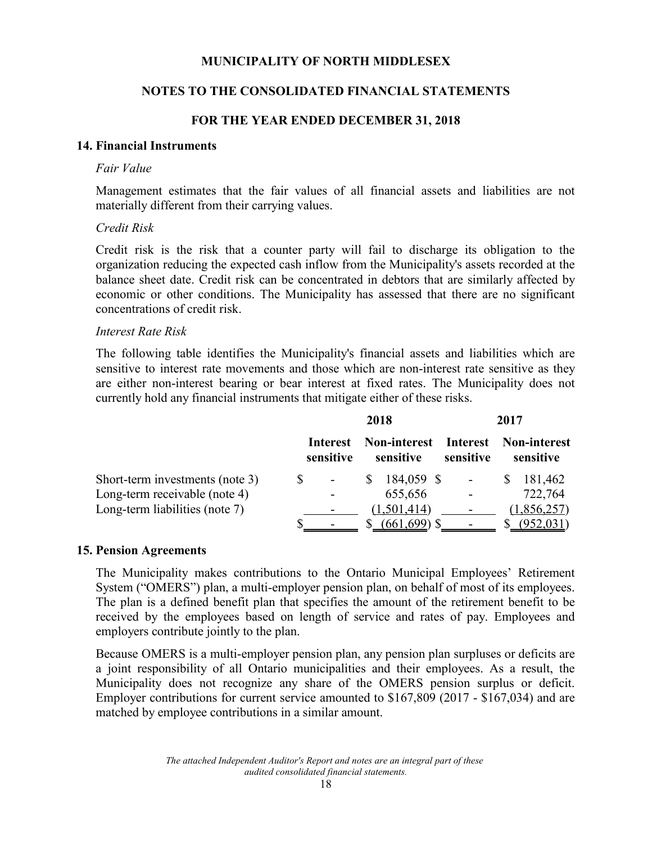#### **NOTES TO THE CONSOLIDATED FINANCIAL STATEMENTS**

#### **FOR THE YEAR ENDED DECEMBER 31, 2018**

#### **14. Financial Instruments**

#### *Fair Value*

Management estimates that the fair values of all financial assets and liabilities are not materially different from their carrying values.

#### *Credit Risk*

Credit risk is the risk that a counter party will fail to discharge its obligation to the organization reducing the expected cash inflow from the Municipality's assets recorded at the balance sheet date. Credit risk can be concentrated in debtors that are similarly affected by economic or other conditions. The Municipality has assessed that there are no significant concentrations of credit risk.

#### *Interest Rate Risk*

The following table identifies the Municipality's financial assets and liabilities which are sensitive to interest rate movements and those which are non-interest rate sensitive as they are either non-interest bearing or bear interest at fixed rates. The Municipality does not currently hold any financial instruments that mitigate either of these risks.

|                                 |                       |                                                        | 2018           | 2017      |              |  |  |  |
|---------------------------------|-----------------------|--------------------------------------------------------|----------------|-----------|--------------|--|--|--|
|                                 | Interest<br>sensitive | <b>Non-interest Interest Non-interest</b><br>sensitive |                | sensitive | sensitive    |  |  |  |
| Short-term investments (note 3) |                       |                                                        | 184,059 \$     |           | 181,462<br>S |  |  |  |
| Long-term receivable (note 4)   |                       |                                                        | 655,656        |           | 722,764      |  |  |  |
| Long-term liabilities (note 7)  |                       |                                                        | (1,501,414)    |           | 1,856,257)   |  |  |  |
|                                 |                       |                                                        | $(661,699)$ \$ |           |              |  |  |  |

#### **15. Pension Agreements**

The Municipality makes contributions to the Ontario Municipal Employees' Retirement System ("OMERS") plan, a multi-employer pension plan, on behalf of most of its employees. The plan is a defined benefit plan that specifies the amount of the retirement benefit to be received by the employees based on length of service and rates of pay. Employees and employers contribute jointly to the plan.

Because OMERS is a multi-employer pension plan, any pension plan surpluses or deficits are a joint responsibility of all Ontario municipalities and their employees. As a result, the Municipality does not recognize any share of the OMERS pension surplus or deficit. Employer contributions for current service amounted to \$167,809 (2017 - \$167,034) and are matched by employee contributions in a similar amount.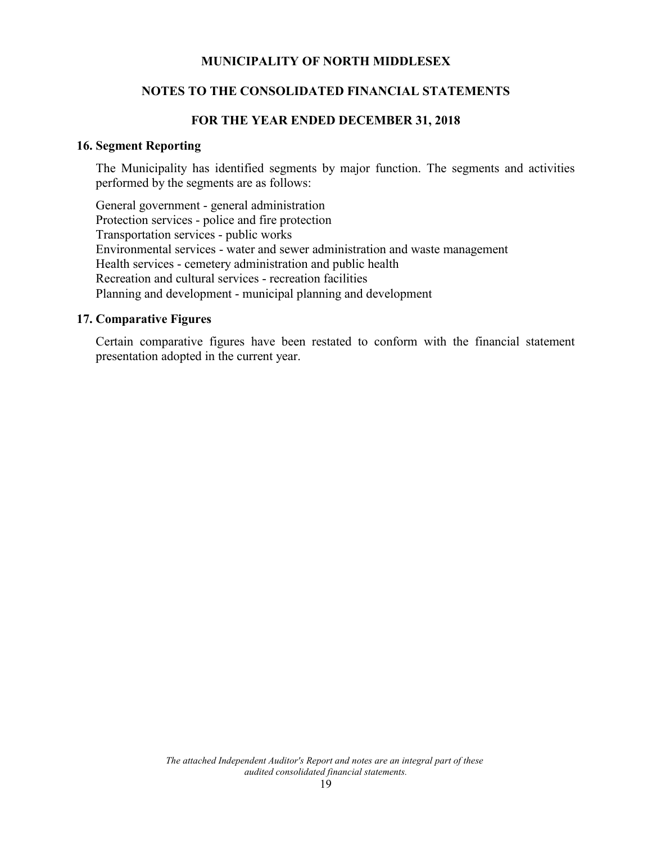#### **NOTES TO THE CONSOLIDATED FINANCIAL STATEMENTS**

#### **FOR THE YEAR ENDED DECEMBER 31, 2018**

#### **16. Segment Reporting**

The Municipality has identified segments by major function. The segments and activities performed by the segments are as follows:

General government - general administration Protection services - police and fire protection Transportation services - public works Environmental services - water and sewer administration and waste management Health services - cemetery administration and public health Recreation and cultural services - recreation facilities Planning and development - municipal planning and development

#### **17. Comparative Figures**

Certain comparative figures have been restated to conform with the financial statement presentation adopted in the current year.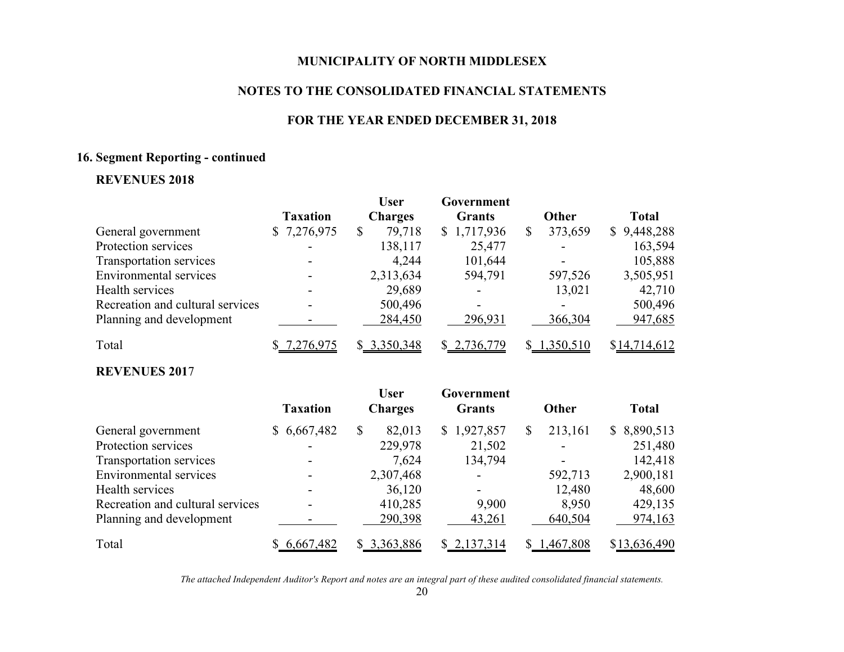#### **NOTES TO THE CONSOLIDATED FINANCIAL STATEMENTS**

#### **FOR THE YEAR ENDED DECEMBER 31, 2018**

#### **16. Segment Reporting - continued**

# **REVENUES 2018**

|                                  |                 | <b>User</b>    | Government    |               |              |
|----------------------------------|-----------------|----------------|---------------|---------------|--------------|
|                                  | <b>Taxation</b> | <b>Charges</b> | <b>Grants</b> | <b>Other</b>  | <b>Total</b> |
| General government               | \$7,276,975     | 79,718<br>\$   | \$1,717,936   | 373,659<br>\$ | \$9,448,288  |
| Protection services              |                 | 138,117        | 25,477        |               | 163,594      |
| Transportation services          |                 | 4,244          | 101,644       |               | 105,888      |
| Environmental services           |                 | 2,313,634      | 594,791       | 597,526       | 3,505,951    |
| Health services                  |                 | 29,689         |               | 13,021        | 42,710       |
| Recreation and cultural services |                 | 500,496        | -             |               | 500,496      |
| Planning and development         |                 | 284,450        | 296,931       | 366,304       | 947,685      |
| Total                            | 7,276,975       | \$3,350,348    | \$2,736,779   | \$1,350,510   | \$14,714,612 |

# **REVENUES 201**7

|                                  | <b>Taxation</b> | <b>User</b><br><b>Charges</b> | Government<br><b>Grants</b> | Other         | <b>Total</b>                |
|----------------------------------|-----------------|-------------------------------|-----------------------------|---------------|-----------------------------|
| General government               | \$6,667,482     | \$<br>82,013                  | \$1,927,857                 | 213,161<br>\$ | 8,890,513<br>$\mathbb{S}^-$ |
| Protection services              |                 | 229,978                       | 21,502                      |               | 251,480                     |
| Transportation services          |                 | 7,624                         | 134,794                     |               | 142,418                     |
| <b>Environmental services</b>    |                 | 2,307,468                     | $\overline{\phantom{0}}$    | 592,713       | 2,900,181                   |
| Health services                  |                 | 36,120                        | $\overline{\phantom{a}}$    | 12,480        | 48,600                      |
| Recreation and cultural services |                 | 410,285                       | 9,900                       | 8,950         | 429,135                     |
| Planning and development         |                 | 290,398                       | 43,261                      | 640,504       | 974,163                     |
| Total                            | \$6,667,482     | \$3,363,886                   | \$2,137,314                 | \$1,467,808   | \$13,636,490                |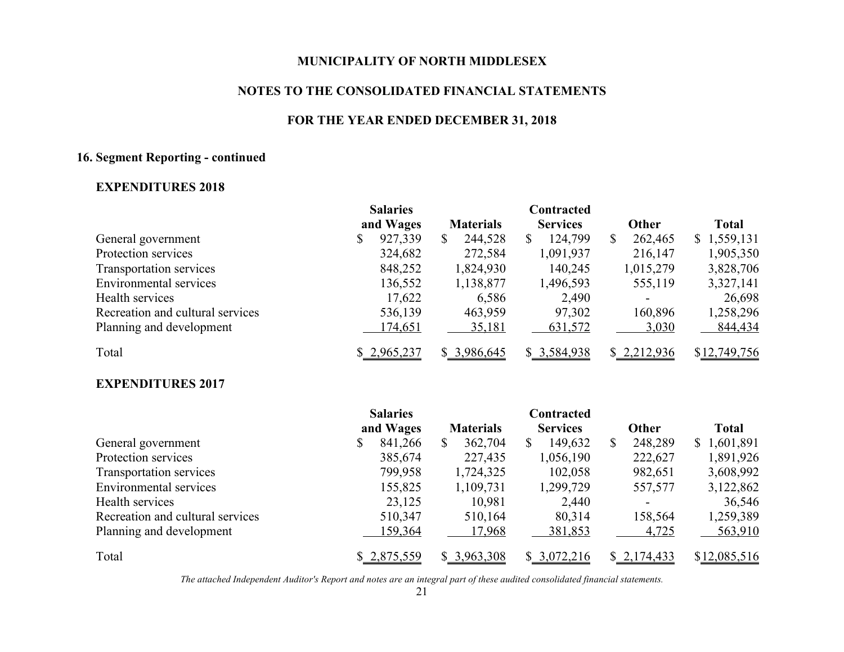#### **NOTES TO THE CONSOLIDATED FINANCIAL STATEMENTS**

#### **FOR THE YEAR ENDED DECEMBER 31, 2018**

# **16. Segment Reporting - continued**

# **EXPENDITURES 2018**

|                                  | <b>Salaries</b> |                  | Contracted      |                          |              |
|----------------------------------|-----------------|------------------|-----------------|--------------------------|--------------|
|                                  | and Wages       | <b>Materials</b> | <b>Services</b> | <b>Other</b>             | <b>Total</b> |
| General government               | 927,339<br>\$   | 244,528<br>S     | 124,799         | \$<br>262,465            | \$1,559,131  |
| Protection services              | 324,682         | 272,584          | 1,091,937       | 216,147                  | 1,905,350    |
| Transportation services          | 848,252         | 1,824,930        | 140,245         | 1,015,279                | 3,828,706    |
| Environmental services           | 136,552         | 1,138,877        | 1,496,593       | 555,119                  | 3,327,141    |
| Health services                  | 17,622          | 6,586            | 2,490           | $\overline{\phantom{0}}$ | 26,698       |
| Recreation and cultural services | 536,139         | 463,959          | 97,302          | 160,896                  | 1,258,296    |
| Planning and development         | 174,651         | 35,181           | 631,572         | 3,030                    | 844,434      |
| Total                            | \$2,965,237     | \$3,986,645      | \$3,584,938     | \$2,212,936              | \$12,749,756 |

# **EXPENDITURES 2017**

|                                  | <b>Salaries</b> |                  | Contracted      |               |              |
|----------------------------------|-----------------|------------------|-----------------|---------------|--------------|
|                                  | and Wages       | <b>Materials</b> | <b>Services</b> | <b>Other</b>  | <b>Total</b> |
| General government               | 841,266<br>\$   | 362,704          | 149,632         | 248,289<br>\$ | \$1,601,891  |
| Protection services              | 385,674         | 227,435          | 1,056,190       | 222,627       | 1,891,926    |
| Transportation services          | 799,958         | 1,724,325        | 102,058         | 982,651       | 3,608,992    |
| Environmental services           | 155,825         | 1,109,731        | 1,299,729       | 557,577       | 3,122,862    |
| Health services                  | 23,125          | 10,981           | 2,440           |               | 36,546       |
| Recreation and cultural services | 510,347         | 510,164          | 80,314          | 158,564       | 1,259,389    |
| Planning and development         | 159,364         | 17,968           | 381,853         | 4,725         | 563,910      |
| Total                            | \$2,875,559     | \$3,963,308      | \$3,072,216     | \$2,174,433   | \$12,085,516 |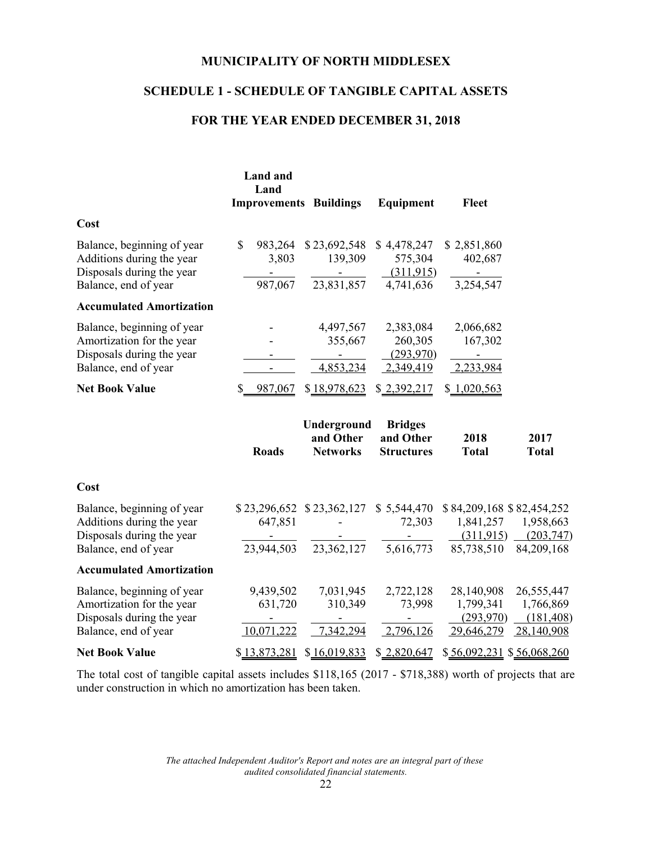# **SCHEDULE 1 - SCHEDULE OF TANGIBLE CAPITAL ASSETS**

# **FOR THE YEAR ENDED DECEMBER 31, 2018**

|                                                                                                              | <b>Land and</b><br>Land<br><b>Improvements Buildings</b>                                                                           |                                                                   | <b>Equipment</b>                                 | <b>Fleet</b>                                                                                                               |                                                                  |
|--------------------------------------------------------------------------------------------------------------|------------------------------------------------------------------------------------------------------------------------------------|-------------------------------------------------------------------|--------------------------------------------------|----------------------------------------------------------------------------------------------------------------------------|------------------------------------------------------------------|
| Cost                                                                                                         |                                                                                                                                    |                                                                   |                                                  |                                                                                                                            |                                                                  |
| Balance, beginning of year<br>Additions during the year<br>Disposals during the year<br>Balance, end of year | $\mathbb{S}$<br>983,264<br>3,803<br>$\frac{1}{2} \left( \frac{1}{2} \right)$ , $\frac{1}{2} \left( \frac{1}{2} \right)$<br>987,067 | \$23,692,548<br>139,309<br><b>Contract Contract</b><br>23,831,857 | \$4,478,247<br>575,304<br>(311,915)<br>4,741,636 | \$2,851,860<br>402,687<br>$\mathcal{L}^{\text{max}}_{\text{max}}$ and $\mathcal{L}^{\text{max}}_{\text{max}}$<br>3,254,547 |                                                                  |
| <b>Accumulated Amortization</b>                                                                              |                                                                                                                                    |                                                                   |                                                  |                                                                                                                            |                                                                  |
| Balance, beginning of year<br>Amortization for the year<br>Disposals during the year<br>Balance, end of year |                                                                                                                                    | 4,497,567<br>355,667<br>$\blacksquare$<br>4,853,234               | 2,383,084<br>260,305<br>(293,970)<br>2,349,419   | 2,066,682<br>167,302<br>$\sigma_{\rm{max}}$<br>2,233,984                                                                   |                                                                  |
| <b>Net Book Value</b>                                                                                        | \$ 987,067                                                                                                                         | \$18,978,623                                                      | \$2,392,217                                      | \$1,020,563                                                                                                                |                                                                  |
|                                                                                                              | <b>Roads</b>                                                                                                                       | Underground<br>and Other<br><b>Networks</b>                       | <b>Bridges</b><br>and Other<br><b>Structures</b> | 2018<br><b>Total</b>                                                                                                       | 2017<br><b>Total</b>                                             |
| Cost                                                                                                         |                                                                                                                                    |                                                                   |                                                  |                                                                                                                            |                                                                  |
| Balance, beginning of year<br>Additions during the year<br>Disposals during the year<br>Balance, end of year | \$23,296,652 \$23,362,127 \$5,544,470<br>647,851                                                                                   | 23,944,503 23,362,127 5,616,773                                   | 72,303                                           | \$84,209,168 \$82,454,252<br>85,738,510                                                                                    | 1,841,257 1,958,663<br>$(311.915)$ $(203.747)$<br>84,209,168     |
| <b>Accumulated Amortization</b>                                                                              |                                                                                                                                    |                                                                   |                                                  |                                                                                                                            |                                                                  |
| Balance, beginning of year<br>Amortization for the year<br>Disposals during the year<br>Balance, end of year | 9,439,502<br>631,720<br>$\blacksquare$<br>10,071,222                                                                               | 7,031,945<br>310,349<br>$\sim 100$<br>7,342,294                   | 2,722,128<br>73,998<br>$\sim 100$<br>2,796,126   | 28,140,908<br>1,799,341<br>(293,970)                                                                                       | 26, 555, 447<br>1,766,869<br>(181, 408)<br>29,646,279 28,140,908 |
| <b>Net Book Value</b>                                                                                        | \$13,873,281                                                                                                                       | \$16,019,833                                                      | \$2,820,647                                      | \$56,092,231 \$56,068,260                                                                                                  |                                                                  |

The total cost of tangible capital assets includes \$118,165 (2017 - \$718,388) worth of projects that are under construction in which no amortization has been taken.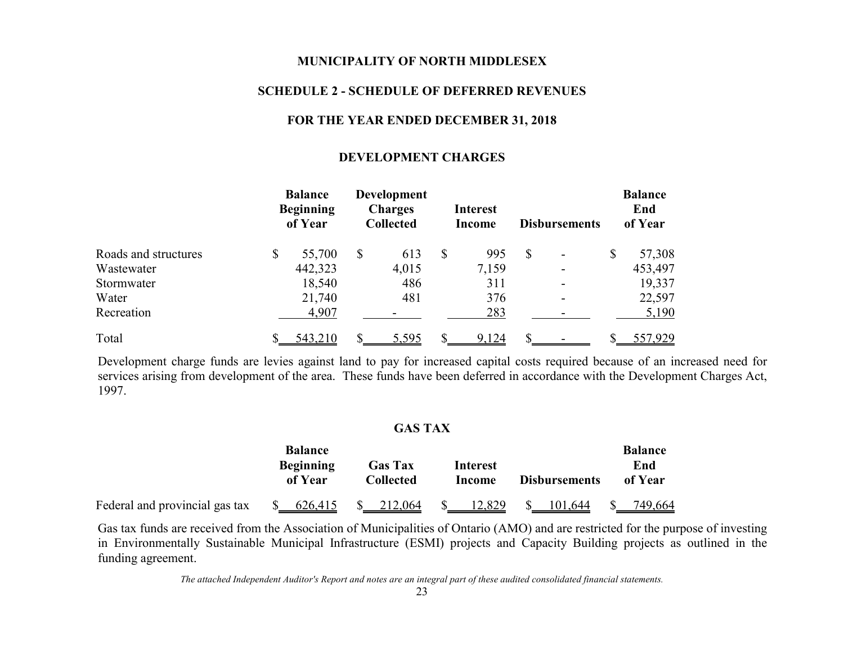#### **SCHEDULE 2 - SCHEDULE OF DEFERRED REVENUES**

#### **FOR THE YEAR ENDED DECEMBER 31, 2018**

#### **DEVELOPMENT CHARGES**

|                      | <b>Balance</b><br><b>Beginning</b><br>of Year |         | <b>Development</b><br><b>Charges</b><br><b>Collected</b> |       | <b>Interest</b><br>Income |              | <b>Disbursements</b> | <b>Balance</b><br>End<br>of Year |
|----------------------|-----------------------------------------------|---------|----------------------------------------------------------|-------|---------------------------|--------------|----------------------|----------------------------------|
| Roads and structures | \$                                            | 55,700  | \$                                                       | 613   | \$<br>995                 | $\mathbb{S}$ |                      | \$<br>57,308                     |
| Wastewater           |                                               | 442,323 |                                                          | 4,015 | 7,159                     |              |                      | 453,497                          |
| Stormwater           |                                               | 18,540  |                                                          | 486   | 311                       |              |                      | 19,337                           |
| Water                |                                               | 21,740  |                                                          | 481   | 376                       |              |                      | 22,597                           |
| Recreation           |                                               | 4,907   |                                                          |       | 283                       |              |                      | 5,190                            |
| Total                |                                               | 543,210 |                                                          | 5,595 | 9,124                     |              |                      | 557,929                          |

Development charge funds are levies against land to pay for increased capital costs required because of an increased need for services arising from development of the area. These funds have been deferred in accordance with the Development Charges Act, 1997.

#### **GAS TAX**

|                                | <b>Balance</b>              |                             |                    |                      | <b>Balance</b> |
|--------------------------------|-----------------------------|-----------------------------|--------------------|----------------------|----------------|
|                                | <b>Beginning</b><br>of Year | <b>Gas Tax</b><br>Collected | Interest<br>Income | <b>Disbursements</b> | End<br>of Year |
| Federal and provincial gas tax | 626,415                     | 212,064                     | 12,829             | 101,644              | 749,664        |

Gas tax funds are received from the Association of Municipalities of Ontario (AMO) and are restricted for the purpose of investing in Environmentally Sustainable Municipal Infrastructure (ESMI) projects and Capacity Building projects as outlined in the funding agreement.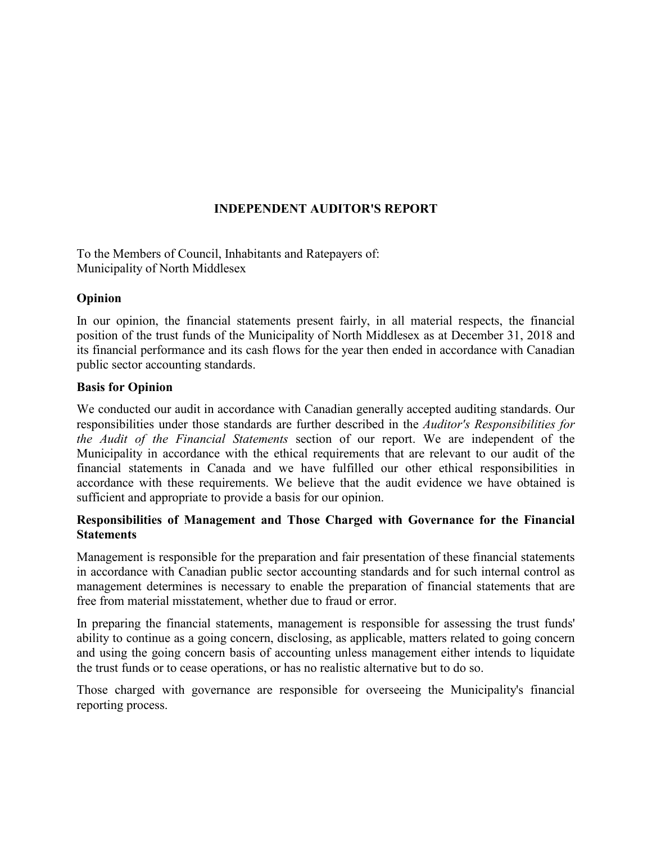# **INDEPENDENT AUDITOR'S REPORT**

To the Members of Council, Inhabitants and Ratepayers of: Municipality of North Middlesex

#### **Opinion**

In our opinion, the financial statements present fairly, in all material respects, the financial position of the trust funds of the Municipality of North Middlesex as at December 31, 2018 and its financial performance and its cash flows for the year then ended in accordance with Canadian public sector accounting standards.

#### **Basis for Opinion**

We conducted our audit in accordance with Canadian generally accepted auditing standards. Our responsibilities under those standards are further described in the *Auditor's Responsibilities for the Audit of the Financial Statements* section of our report. We are independent of the Municipality in accordance with the ethical requirements that are relevant to our audit of the financial statements in Canada and we have fulfilled our other ethical responsibilities in accordance with these requirements. We believe that the audit evidence we have obtained is sufficient and appropriate to provide a basis for our opinion.

#### **Responsibilities of Management and Those Charged with Governance for the Financial Statements**

Management is responsible for the preparation and fair presentation of these financial statements in accordance with Canadian public sector accounting standards and for such internal control as management determines is necessary to enable the preparation of financial statements that are free from material misstatement, whether due to fraud or error.

In preparing the financial statements, management is responsible for assessing the trust funds' ability to continue as a going concern, disclosing, as applicable, matters related to going concern and using the going concern basis of accounting unless management either intends to liquidate the trust funds or to cease operations, or has no realistic alternative but to do so.

Those charged with governance are responsible for overseeing the Municipality's financial reporting process.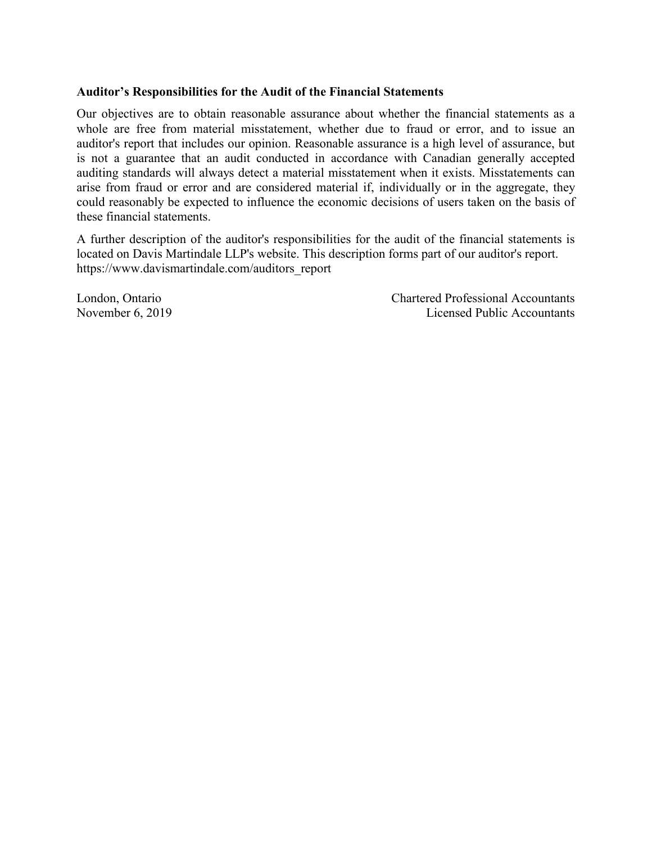#### **Auditor's Responsibilities for the Audit of the Financial Statements**

Our objectives are to obtain reasonable assurance about whether the financial statements as a whole are free from material misstatement, whether due to fraud or error, and to issue an auditor's report that includes our opinion. Reasonable assurance is a high level of assurance, but is not a guarantee that an audit conducted in accordance with Canadian generally accepted auditing standards will always detect a material misstatement when it exists. Misstatements can arise from fraud or error and are considered material if, individually or in the aggregate, they could reasonably be expected to influence the economic decisions of users taken on the basis of these financial statements.

A further description of the auditor's responsibilities for the audit of the financial statements is located on Davis Martindale LLP's website. This description forms part of our auditor's report. https://www.davismartindale.com/auditors\_report

London, Ontario Chartered Professional Accountants November 6, 2019 Licensed Public Accountants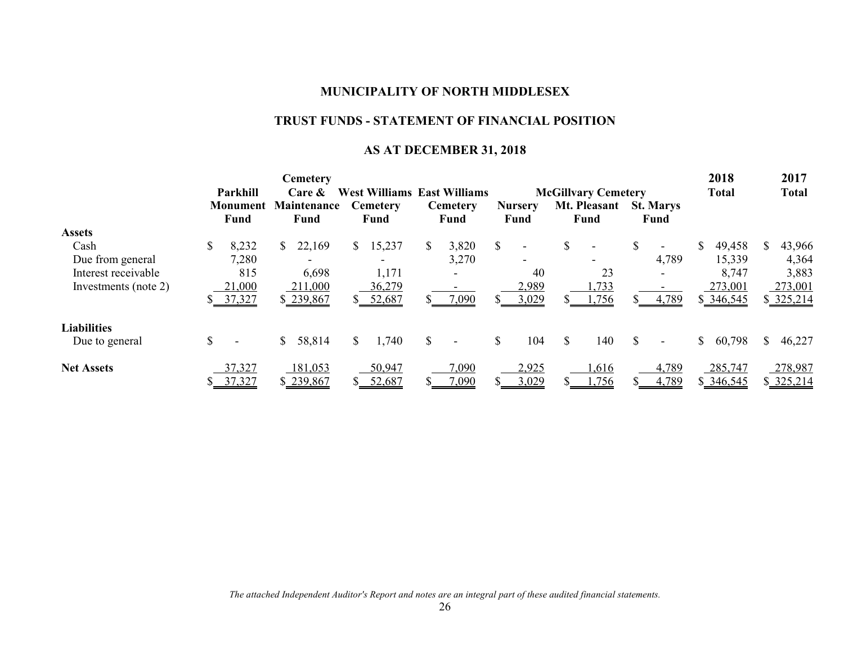# **TRUST FUNDS - STATEMENT OF FINANCIAL POSITION**

# **AS AT DECEMBER 31, 2018**

|                      |                    |                         |                                    | <b>Cemetery</b>     |    |                         |               |                          |                            |                        |                      |                                 |              | 2018      |    | 2017      |  |
|----------------------|--------------------|-------------------------|------------------------------------|---------------------|----|-------------------------|---------------|--------------------------|----------------------------|------------------------|----------------------|---------------------------------|--------------|-----------|----|-----------|--|
|                      | Parkhill<br>Care & |                         | <b>West Williams East Williams</b> |                     |    |                         |               |                          | <b>McGillvary Cemetery</b> |                        | <b>Total</b>         |                                 | <b>Total</b> |           |    |           |  |
|                      |                    | <b>Monument</b><br>Fund |                                    | Maintenance<br>Fund |    | <b>Cemetery</b><br>Fund |               | <b>Cemetery</b><br>Fund  |                            | <b>Nursery</b><br>Fund | Mt. Pleasant<br>Fund | <b>St. Marys</b><br><b>Fund</b> |              |           |    |           |  |
| <b>Assets</b>        |                    |                         |                                    |                     |    |                         |               |                          |                            |                        |                      |                                 |              |           |    |           |  |
| Cash                 |                    | 8,232                   | S.                                 | 22,169              | S. | 15,237                  | <sup>\$</sup> | 3,820                    | S                          |                        | \$                   | $\overline{\phantom{0}}$        | \$           | 49,458    | S. | 43,966    |  |
| Due from general     |                    | 7,280                   |                                    |                     |    | ۰                       |               | 3,270                    |                            |                        |                      | 4,789                           |              | 15,339    |    | 4,364     |  |
| Interest receivable  |                    | 815                     |                                    | 6,698               |    | 1,171                   |               | $\blacksquare$           |                            | 40                     | 23                   |                                 |              | 8,747     |    | 3,883     |  |
| Investments (note 2) |                    | 21,000                  |                                    | 211,000             |    | 36,279                  |               |                          |                            | 2,989                  | ,733                 |                                 |              | 273,001   |    | 273,001   |  |
|                      |                    | 37,327                  |                                    | \$239,867           |    | \$ 52,687               |               | 7,090                    |                            | 3,029                  | ,756                 | 4,789                           |              | \$346,545 |    | \$325,214 |  |
| <b>Liabilities</b>   |                    |                         |                                    |                     |    |                         |               |                          |                            |                        |                      |                                 |              |           |    |           |  |
| Due to general       |                    | $\blacksquare$          |                                    | 58,814              | S. | 1,740                   | \$            | $\overline{\phantom{0}}$ | \$                         | 104                    | \$<br>140            |                                 | \$           | 60,798    | S. | 46,227    |  |
| <b>Net Assets</b>    |                    | 37,327                  |                                    | 181,053             |    | 50,947                  |               | 7,090                    |                            | 2,925                  | .616                 | 4,789                           |              | 285,747   |    | 278,987   |  |
|                      |                    | 37,327                  |                                    | \$239,867           |    | 52,687                  |               | 7,090                    |                            | 3,029                  | .756                 | 4,789                           |              | \$346,545 |    | \$325,214 |  |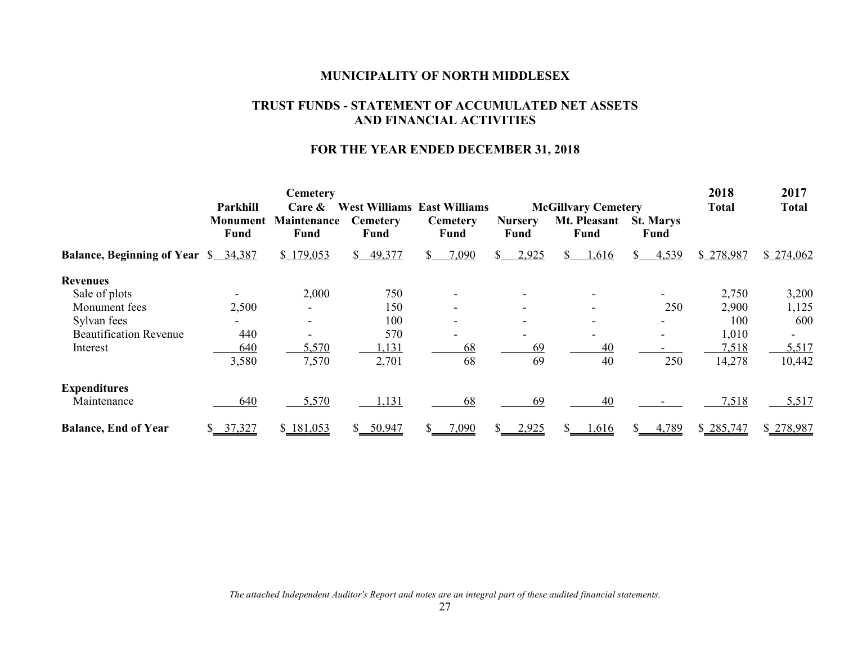#### **TRUST FUNDS - STATEMENT OF ACCUMULATED NET ASSETS AND FINANCIAL ACTIVITIES**

#### **FOR THE YEAR ENDED DECEMBER 31, 2018**

|                                             | Parkhill                | <b>Cemetery</b><br>$Care \&$ |                         | <b>West Williams East Williams</b> | 2018<br><b>Total</b>   | 2017<br><b>Total</b>                               |                                 |           |           |
|---------------------------------------------|-------------------------|------------------------------|-------------------------|------------------------------------|------------------------|----------------------------------------------------|---------------------------------|-----------|-----------|
|                                             | Monument<br><b>Fund</b> | <b>Maintenance</b><br>Fund   | <b>Cemetery</b><br>Fund | <b>Cemetery</b><br>Fund            | <b>Nursery</b><br>Fund | <b>McGillvary Cemetery</b><br>Mt. Pleasant<br>Fund | <b>St. Marys</b><br><b>Fund</b> |           |           |
| <b>Balance, Beginning of Year</b> \$ 34,387 |                         | \$179,053                    | 49,377<br>S.            | 7,090<br>S.                        | 2,925<br>$\mathcal{S}$ | 1,616<br>S.                                        | 4,539<br>SS.                    | \$278,987 | \$274,062 |
| <b>Revenues</b>                             |                         |                              |                         |                                    |                        |                                                    |                                 |           |           |
| Sale of plots                               |                         | 2,000                        | 750                     |                                    |                        |                                                    |                                 | 2,750     | 3,200     |
| Monument fees                               | 2,500                   |                              | 150                     |                                    |                        |                                                    | 250                             | 2,900     | 1,125     |
| Sylvan fees                                 |                         |                              | 100                     |                                    |                        |                                                    |                                 | 100       | 600       |
| <b>Beautification Revenue</b>               | 440                     |                              | 570                     |                                    |                        |                                                    |                                 | 1,010     |           |
| Interest                                    | 640                     | 5,570                        | 1,131                   | 68                                 | 69                     | 40                                                 |                                 | 7,518     | 5,517     |
|                                             | 3,580                   | 7,570                        | 2,701                   | 68                                 | 69                     | 40                                                 | 250                             | 14,278    | 10,442    |
| <b>Expenditures</b>                         |                         |                              |                         |                                    |                        |                                                    |                                 |           |           |
| Maintenance                                 | 640                     | 5,570                        | 1,131                   | 68                                 | 69                     | 40                                                 |                                 | 7,518     | 5,517     |
| <b>Balance, End of Year</b>                 | 37,327                  | \$181,053                    | 50,947<br>S.            | 7,090<br>S                         | 2,925                  | 1,616                                              | 4,789                           | \$285,747 | \$278,987 |